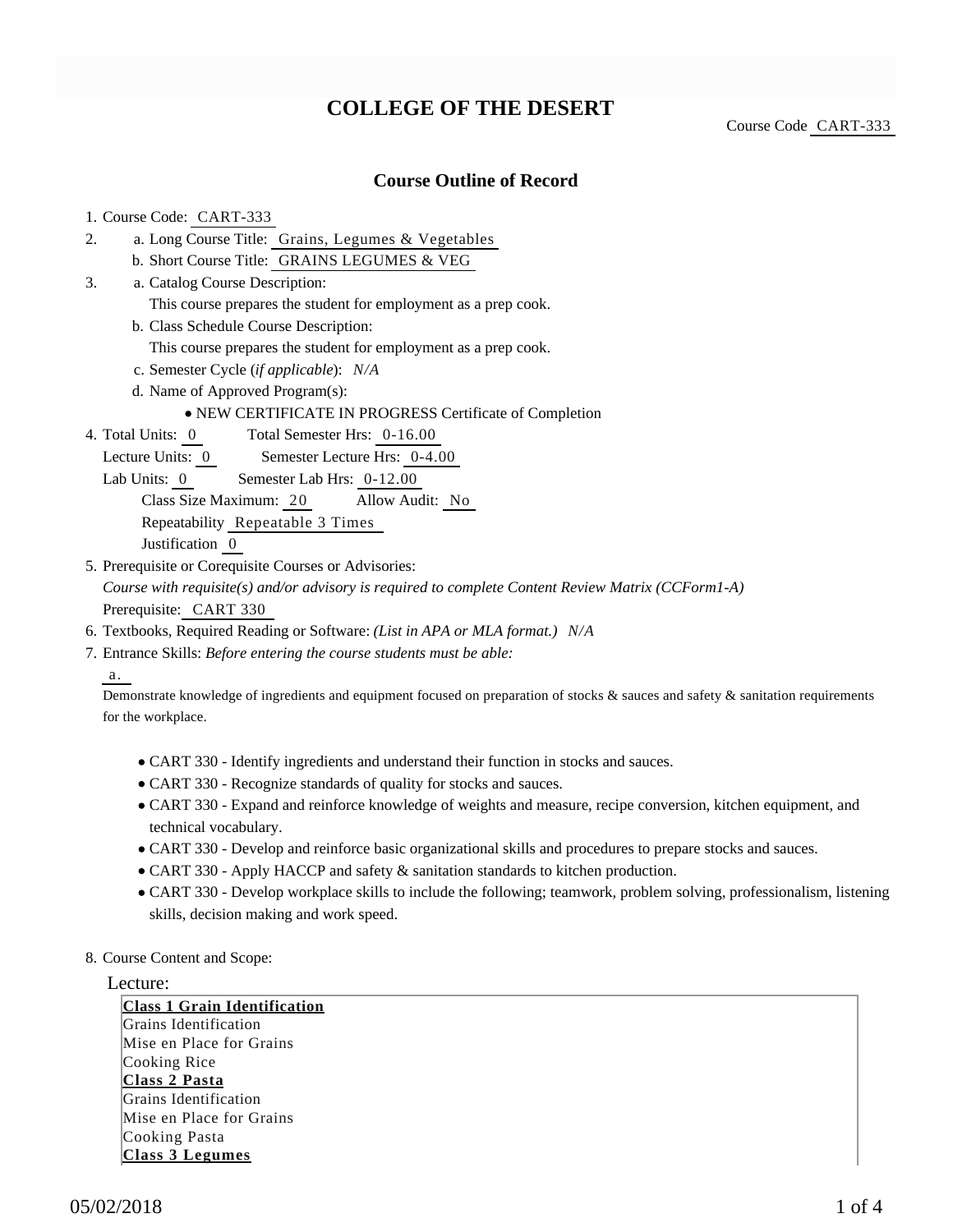## **COLLEGE OF THE DESERT**

Course Code CART-333

### **Course Outline of Record**

#### 1. Course Code: CART-333

- a. Long Course Title: Grains, Legumes & Vegetables 2.
	- b. Short Course Title: GRAINS LEGUMES & VEG
- Catalog Course Description: a. 3.
	- This course prepares the student for employment as a prep cook.
	- b. Class Schedule Course Description:
		- This course prepares the student for employment as a prep cook.
	- c. Semester Cycle (*if applicable*): *N/A*
	- d. Name of Approved Program(s):

#### NEW CERTIFICATE IN PROGRESS Certificate of Completion

- Total Semester Hrs: 0-16.00 4. Total Units: 0
	- Lecture Units: 0 Semester Lecture Hrs: 0-4.00
	- Lab Units: 0 Semester Lab Hrs: 0-12.00

Class Size Maximum: 20 Allow Audit: No

Repeatability Repeatable 3 Times

Justification 0

- 5. Prerequisite or Corequisite Courses or Advisories: *Course with requisite(s) and/or advisory is required to complete Content Review Matrix (CCForm1-A)* Prerequisite: CART 330
- 6. Textbooks, Required Reading or Software: *(List in APA or MLA format.) N/A*
- Entrance Skills: *Before entering the course students must be able:* 7.

a.

Demonstrate knowledge of ingredients and equipment focused on preparation of stocks & sauces and safety & sanitation requirements for the workplace.

- CART 330 Identify ingredients and understand their function in stocks and sauces.
- CART 330 Recognize standards of quality for stocks and sauces.
- CART 330 Expand and reinforce knowledge of weights and measure, recipe conversion, kitchen equipment, and technical vocabulary.
- CART 330 Develop and reinforce basic organizational skills and procedures to prepare stocks and sauces.
- CART 330 Apply HACCP and safety & sanitation standards to kitchen production.
- CART 330 Develop workplace skills to include the following; teamwork, problem solving, professionalism, listening skills, decision making and work speed.
- 8. Course Content and Scope:

#### Lecture:

**Class 1 Grain Identification** Grains Identification Mise en Place for Grains Cooking Rice **Class 2 Pasta** Grains Identification Mise en Place for Grains Cooking Pasta **Class 3 Legumes**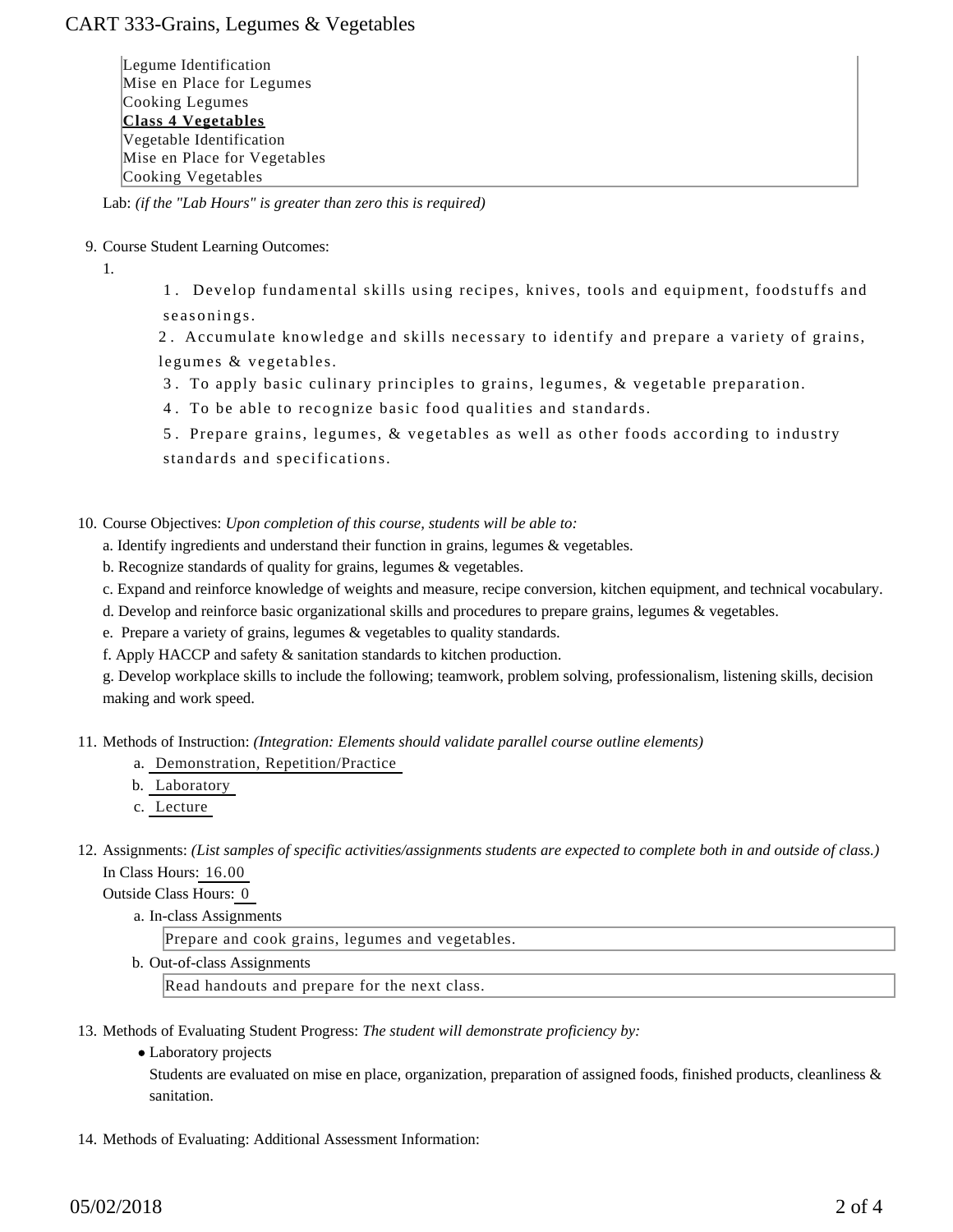## CART 333-Grains, Legumes & Vegetables

Legume Identification Mise en Place for Legumes Cooking Legumes **Class 4 Vegetables** Vegetable Identification Mise en Place for Vegetables Cooking Vegetables

Lab: *(if the "Lab Hours" is greater than zero this is required)*

9. Course Student Learning Outcomes:

1.

1 . Develop fundamental skills using recipes, knives, tools and equipment, foodstuffs and seasonings.

2 . Accumulate knowledge and skills necessary to identify and prepare a variety of grains, legumes & vegetables.

- 3 . To apply basic culinary principles to grains, legumes, & vegetable preparation.
- 4 . To be able to recognize basic food qualities and standards.

5 . Prepare grains, legumes, & vegetables as well as other foods according to industry standards and specifications.

- 10. Course Objectives: Upon completion of this course, students will be able to:
	- a. Identify ingredients and understand their function in grains, legumes & vegetables.
	- b. Recognize standards of quality for grains, legumes & vegetables.
	- c. Expand and reinforce knowledge of weights and measure, recipe conversion, kitchen equipment, and technical vocabulary.
	- d. Develop and reinforce basic organizational skills and procedures to prepare grains, legumes & vegetables.
	- e. Prepare a variety of grains, legumes & vegetables to quality standards.
	- f. Apply HACCP and safety & sanitation standards to kitchen production.

g. Develop workplace skills to include the following; teamwork, problem solving, professionalism, listening skills, decision making and work speed.

11. Methods of Instruction: *(Integration: Elements should validate parallel course outline elements)* 

- a. Demonstration, Repetition/Practice
- b. Laboratory
- c. Lecture
- 12. Assignments: (List samples of specific activities/assignments students are expected to complete both in and outside of class.) In Class Hours: 16.00

Outside Class Hours: 0

a. In-class Assignments

Prepare and cook grains, legumes and vegetables.

b. Out-of-class Assignments

Read handouts and prepare for the next class.

13. Methods of Evaluating Student Progress: The student will demonstrate proficiency by:

Laboratory projects

Students are evaluated on mise en place, organization, preparation of assigned foods, finished products, cleanliness & sanitation.

14. Methods of Evaluating: Additional Assessment Information: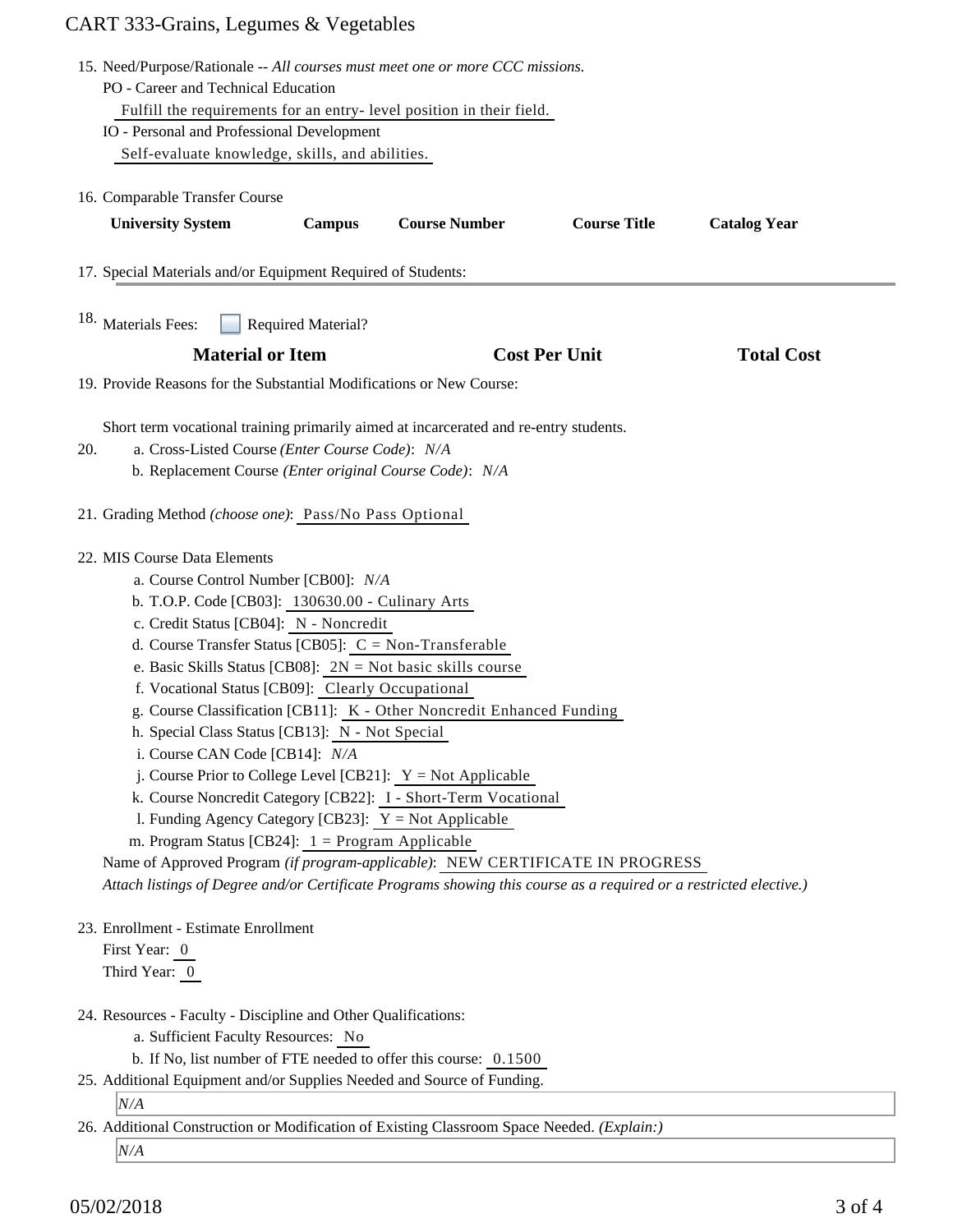# CART 333-Grains, Legumes & Vegetables

| 15. Need/Purpose/Rationale -- All courses must meet one or more CCC missions. |                                                                                                                                                                                                     |               |                      |                      |                     |  |
|-------------------------------------------------------------------------------|-----------------------------------------------------------------------------------------------------------------------------------------------------------------------------------------------------|---------------|----------------------|----------------------|---------------------|--|
| PO - Career and Technical Education                                           |                                                                                                                                                                                                     |               |                      |                      |                     |  |
|                                                                               | Fulfill the requirements for an entry-level position in their field.                                                                                                                                |               |                      |                      |                     |  |
|                                                                               | IO - Personal and Professional Development                                                                                                                                                          |               |                      |                      |                     |  |
|                                                                               | Self-evaluate knowledge, skills, and abilities.                                                                                                                                                     |               |                      |                      |                     |  |
|                                                                               |                                                                                                                                                                                                     |               |                      |                      |                     |  |
|                                                                               | 16. Comparable Transfer Course                                                                                                                                                                      |               |                      |                      |                     |  |
|                                                                               | <b>University System</b>                                                                                                                                                                            | <b>Campus</b> | <b>Course Number</b> | <b>Course Title</b>  | <b>Catalog Year</b> |  |
| 17. Special Materials and/or Equipment Required of Students:                  |                                                                                                                                                                                                     |               |                      |                      |                     |  |
|                                                                               | <sup>18.</sup> Materials Fees:<br>Required Material?                                                                                                                                                |               |                      |                      |                     |  |
|                                                                               | <b>Material or Item</b>                                                                                                                                                                             |               |                      | <b>Cost Per Unit</b> | <b>Total Cost</b>   |  |
|                                                                               | 19. Provide Reasons for the Substantial Modifications or New Course:                                                                                                                                |               |                      |                      |                     |  |
|                                                                               | Short term vocational training primarily aimed at incarcerated and re-entry students.                                                                                                               |               |                      |                      |                     |  |
| 20.                                                                           | a. Cross-Listed Course (Enter Course Code): N/A<br>b. Replacement Course (Enter original Course Code): N/A                                                                                          |               |                      |                      |                     |  |
|                                                                               |                                                                                                                                                                                                     |               |                      |                      |                     |  |
| 21. Grading Method (choose one): Pass/No Pass Optional                        |                                                                                                                                                                                                     |               |                      |                      |                     |  |
|                                                                               | 22. MIS Course Data Elements                                                                                                                                                                        |               |                      |                      |                     |  |
|                                                                               | a. Course Control Number [CB00]: N/A                                                                                                                                                                |               |                      |                      |                     |  |
|                                                                               | b. T.O.P. Code [CB03]: 130630.00 - Culinary Arts                                                                                                                                                    |               |                      |                      |                     |  |
|                                                                               | c. Credit Status [CB04]: N - Noncredit                                                                                                                                                              |               |                      |                      |                     |  |
|                                                                               | d. Course Transfer Status [CB05]: $C = Non-Transferable$                                                                                                                                            |               |                      |                      |                     |  |
|                                                                               | e. Basic Skills Status [CB08]: $2N = Not basic skills course$                                                                                                                                       |               |                      |                      |                     |  |
|                                                                               | f. Vocational Status [CB09]: Clearly Occupational                                                                                                                                                   |               |                      |                      |                     |  |
|                                                                               | g. Course Classification [CB11]: K - Other Noncredit Enhanced Funding                                                                                                                               |               |                      |                      |                     |  |
|                                                                               | h. Special Class Status [CB13]: N - Not Special                                                                                                                                                     |               |                      |                      |                     |  |
|                                                                               | i. Course CAN Code [CB14]: N/A                                                                                                                                                                      |               |                      |                      |                     |  |
|                                                                               | j. Course Prior to College Level [CB21]: $Y = Not$ Applicable                                                                                                                                       |               |                      |                      |                     |  |
|                                                                               | k. Course Noncredit Category [CB22]: I - Short-Term Vocational                                                                                                                                      |               |                      |                      |                     |  |
|                                                                               | 1. Funding Agency Category [CB23]: $Y = Not$ Applicable                                                                                                                                             |               |                      |                      |                     |  |
|                                                                               | m. Program Status [CB24]: $1 =$ Program Applicable                                                                                                                                                  |               |                      |                      |                     |  |
|                                                                               | Name of Approved Program (if program-applicable): NEW CERTIFICATE IN PROGRESS<br>Attach listings of Degree and/or Certificate Programs showing this course as a required or a restricted elective.) |               |                      |                      |                     |  |
|                                                                               |                                                                                                                                                                                                     |               |                      |                      |                     |  |
|                                                                               | 23. Enrollment - Estimate Enrollment                                                                                                                                                                |               |                      |                      |                     |  |
|                                                                               | First Year: 0                                                                                                                                                                                       |               |                      |                      |                     |  |
|                                                                               | Third Year: 0                                                                                                                                                                                       |               |                      |                      |                     |  |
|                                                                               | 24. Resources - Faculty - Discipline and Other Qualifications:                                                                                                                                      |               |                      |                      |                     |  |
|                                                                               | a. Sufficient Faculty Resources: No                                                                                                                                                                 |               |                      |                      |                     |  |
|                                                                               | b. If No, list number of FTE needed to offer this course: 0.1500                                                                                                                                    |               |                      |                      |                     |  |
|                                                                               | 25. Additional Equipment and/or Supplies Needed and Source of Funding.                                                                                                                              |               |                      |                      |                     |  |
|                                                                               | N/A                                                                                                                                                                                                 |               |                      |                      |                     |  |
|                                                                               | 26. Additional Construction or Modification of Existing Classroom Space Needed. (Explain:)                                                                                                          |               |                      |                      |                     |  |
|                                                                               | N/A                                                                                                                                                                                                 |               |                      |                      |                     |  |